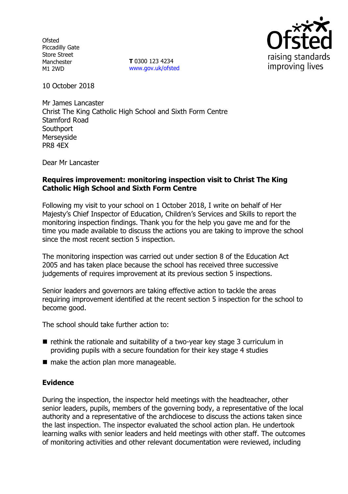**Ofsted** Piccadilly Gate Store Street Manchester M1 2WD

**T** 0300 123 4234 www.gov.uk/ofsted



10 October 2018

Mr James Lancaster Christ The King Catholic High School and Sixth Form Centre Stamford Road **Southport** Merseyside PR8 4EX

Dear Mr Lancaster

### **Requires improvement: monitoring inspection visit to Christ The King Catholic High School and Sixth Form Centre**

Following my visit to your school on 1 October 2018, I write on behalf of Her Majesty's Chief Inspector of Education, Children's Services and Skills to report the monitoring inspection findings. Thank you for the help you gave me and for the time you made available to discuss the actions you are taking to improve the school since the most recent section 5 inspection.

The monitoring inspection was carried out under section 8 of the Education Act 2005 and has taken place because the school has received three successive judgements of requires improvement at its previous section 5 inspections.

Senior leaders and governors are taking effective action to tackle the areas requiring improvement identified at the recent section 5 inspection for the school to become good.

The school should take further action to:

- $\blacksquare$  rethink the rationale and suitability of a two-year key stage 3 curriculum in providing pupils with a secure foundation for their key stage 4 studies
- $\blacksquare$  make the action plan more manageable.

#### **Evidence**

During the inspection, the inspector held meetings with the headteacher, other senior leaders, pupils, members of the governing body, a representative of the local authority and a representative of the archdiocese to discuss the actions taken since the last inspection. The inspector evaluated the school action plan. He undertook learning walks with senior leaders and held meetings with other staff. The outcomes of monitoring activities and other relevant documentation were reviewed, including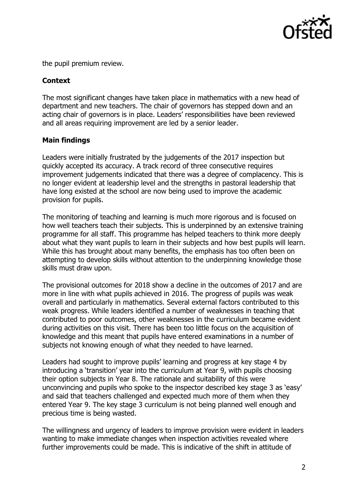

the pupil premium review.

## **Context**

The most significant changes have taken place in mathematics with a new head of department and new teachers. The chair of governors has stepped down and an acting chair of governors is in place. Leaders' responsibilities have been reviewed and all areas requiring improvement are led by a senior leader.

# **Main findings**

Leaders were initially frustrated by the judgements of the 2017 inspection but quickly accepted its accuracy. A track record of three consecutive requires improvement judgements indicated that there was a degree of complacency. This is no longer evident at leadership level and the strengths in pastoral leadership that have long existed at the school are now being used to improve the academic provision for pupils.

The monitoring of teaching and learning is much more rigorous and is focused on how well teachers teach their subjects. This is underpinned by an extensive training programme for all staff. This programme has helped teachers to think more deeply about what they want pupils to learn in their subjects and how best pupils will learn. While this has brought about many benefits, the emphasis has too often been on attempting to develop skills without attention to the underpinning knowledge those skills must draw upon.

The provisional outcomes for 2018 show a decline in the outcomes of 2017 and are more in line with what pupils achieved in 2016. The progress of pupils was weak overall and particularly in mathematics. Several external factors contributed to this weak progress. While leaders identified a number of weaknesses in teaching that contributed to poor outcomes, other weaknesses in the curriculum became evident during activities on this visit. There has been too little focus on the acquisition of knowledge and this meant that pupils have entered examinations in a number of subjects not knowing enough of what they needed to have learned.

Leaders had sought to improve pupils' learning and progress at key stage 4 by introducing a 'transition' year into the curriculum at Year 9, with pupils choosing their option subjects in Year 8. The rationale and suitability of this were unconvincing and pupils who spoke to the inspector described key stage 3 as 'easy' and said that teachers challenged and expected much more of them when they entered Year 9. The key stage 3 curriculum is not being planned well enough and precious time is being wasted.

The willingness and urgency of leaders to improve provision were evident in leaders wanting to make immediate changes when inspection activities revealed where further improvements could be made. This is indicative of the shift in attitude of